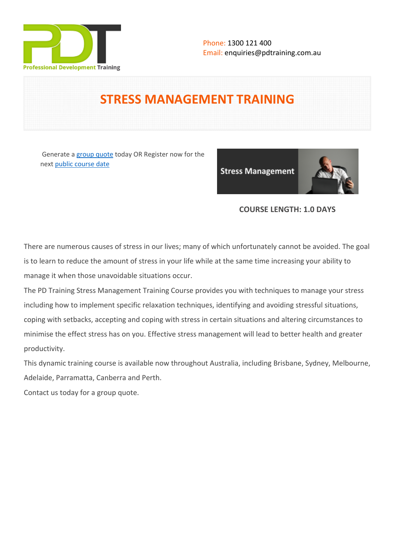

# **STRESS MANAGEMENT TRAINING**

 Generate a [group quote](https://pdtraining.com.au/inhouse-training-quote?cse=PDT0024) today OR Register now for the next [public course date](https://pdtraining.com.au/booking?schedulecode=xi156PkJ3geV2H86ygu2NUdzgjrpnF1PT6wJ6M4s41Cwo6Pta6Xko9gOfBYWx5vyoxb6lzaUmb7VrQljE7orSRAUZRDEYi48FehZ5TiL6c8mbuyxqOrAReOG8rgD5F6dh9qmIvoUZNuQTnSFufnj0E&countryCode=AU¤cyCode=AU)

**Stress Management** 



# **COURSE LENGTH: 1.0 DAYS**

There are numerous causes of stress in our lives; many of which unfortunately cannot be avoided. The goal is to learn to reduce the amount of stress in your life while at the same time increasing your ability to manage it when those unavoidable situations occur.

The PD Training Stress Management Training Course provides you with techniques to manage your stress including how to implement specific relaxation techniques, identifying and avoiding stressful situations, coping with setbacks, accepting and coping with stress in certain situations and altering circumstances to minimise the effect stress has on you. Effective stress management will lead to better health and greater productivity.

This dynamic training course is available now throughout Australia, including Brisbane, Sydney, Melbourne, Adelaide, Parramatta, Canberra and Perth.

Contact us today for a [group quote.](https://pdtraining.com.au/bookings/inhouseex1/quoterequestex1a.aspx)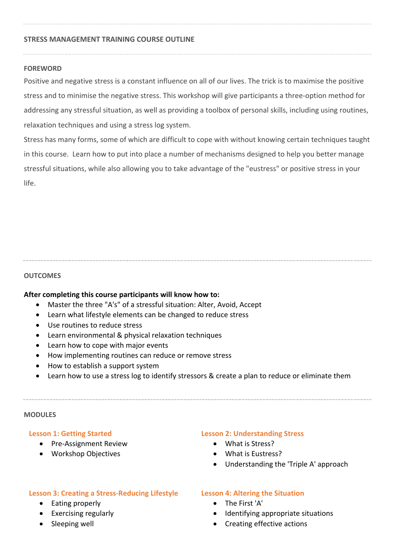## **STRESS MANAGEMENT TRAINING COURSE OUTLINE**

## **FOREWORD**

Positive and negative stress is a constant influence on all of our lives. The trick is to maximise the positive stress and to minimise the negative stress. This workshop will give participants a three-option method for addressing any stressful situation, as well as providing a toolbox of personal skills, including using routines, relaxation techniques and using a stress log system.

Stress has many forms, some of which are difficult to cope with without knowing certain techniques taught in this course. Learn how to put into place a number of mechanisms designed to help you better manage stressful situations, while also allowing you to take advantage of the "eustress" or positive stress in your life.

#### **OUTCOMES**

#### **After completing this course participants will know how to:**

- Master the three "A's" of a stressful situation: Alter, Avoid, Accept
- Learn what lifestyle elements can be changed to reduce stress
- Use routines to reduce stress
- Learn environmental & physical relaxation techniques
- Learn how to cope with major events
- How implementing routines can reduce or remove stress
- How to establish a support system
- Learn how to use a stress log to identify stressors & create a plan to reduce or eliminate them

#### **MODULES**

#### **Lesson 1: Getting Started**

- Pre-Assignment Review
- Workshop Objectives

#### **Lesson 2: Understanding Stress**

- What is Stress?
- What is Eustress?
- Understanding the 'Triple A' approach

#### **Lesson 3: Creating a Stress-Reducing Lifestyle**

- Eating properly
- Exercising regularly
- Sleeping well

#### **Lesson 4: Altering the Situation**

- The First 'A'
- Identifying appropriate situations
- Creating effective actions